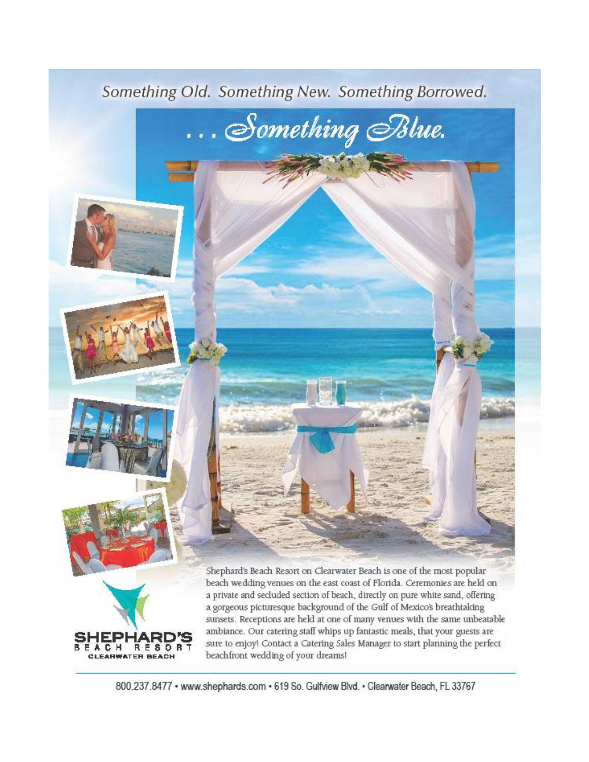



<sup>800.237.8477 ·</sup> www.shephards.com · 619 So. Gulfview Blvd. · Clearwater Beach, FL 33767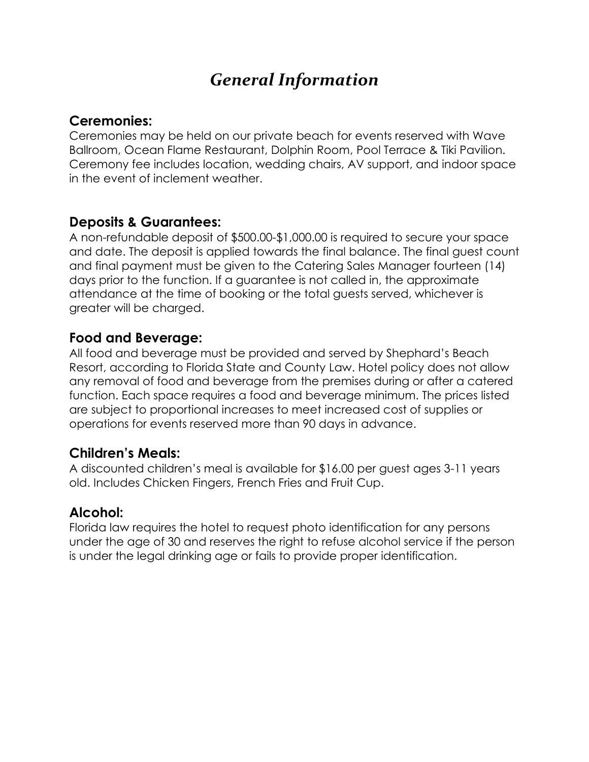# *General Information*

## **Ceremonies:**

Ceremonies may be held on our private beach for events reserved with Wave Ballroom, Ocean Flame Restaurant, Dolphin Room, Pool Terrace & Tiki Pavilion. Ceremony fee includes location, wedding chairs, AV support, and indoor space in the event of inclement weather.

## **Deposits & Guarantees:**

A non-refundable deposit of \$500.00-\$1,000.00 is required to secure your space and date. The deposit is applied towards the final balance. The final guest count and final payment must be given to the Catering Sales Manager fourteen (14) days prior to the function. If a guarantee is not called in, the approximate attendance at the time of booking or the total guests served, whichever is greater will be charged.

## **Food and Beverage:**

All food and beverage must be provided and served by Shephard's Beach Resort, according to Florida State and County Law. Hotel policy does not allow any removal of food and beverage from the premises during or after a catered function. Each space requires a food and beverage minimum. The prices listed are subject to proportional increases to meet increased cost of supplies or operations for events reserved more than 90 days in advance.

## **Children's Meals:**

A discounted children's meal is available for \$16.00 per guest ages 3-11 years old. Includes Chicken Fingers, French Fries and Fruit Cup.

## **Alcohol:**

Florida law requires the hotel to request photo identification for any persons under the age of 30 and reserves the right to refuse alcohol service if the person is under the legal drinking age or fails to provide proper identification.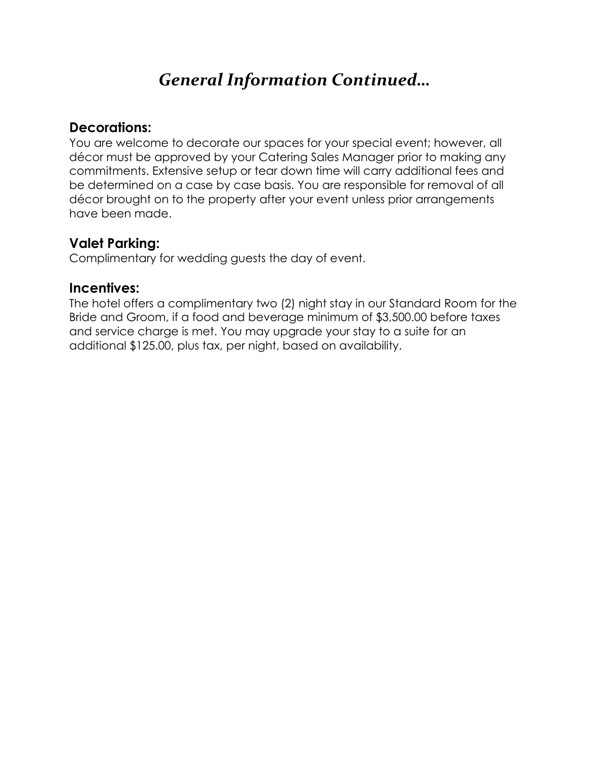# *General Information Continued…*

## **Decorations:**

You are welcome to decorate our spaces for your special event; however, all décor must be approved by your Catering Sales Manager prior to making any commitments. Extensive setup or tear down time will carry additional fees and be determined on a case by case basis. You are responsible for removal of all décor brought on to the property after your event unless prior arrangements have been made.

## **Valet Parking:**

Complimentary for wedding guests the day of event.

## **Incentives:**

The hotel offers a complimentary two (2) night stay in our Standard Room for the Bride and Groom, if a food and beverage minimum of \$3,500.00 before taxes and service charge is met. You may upgrade your stay to a suite for an additional \$125.00, plus tax, per night, based on availability.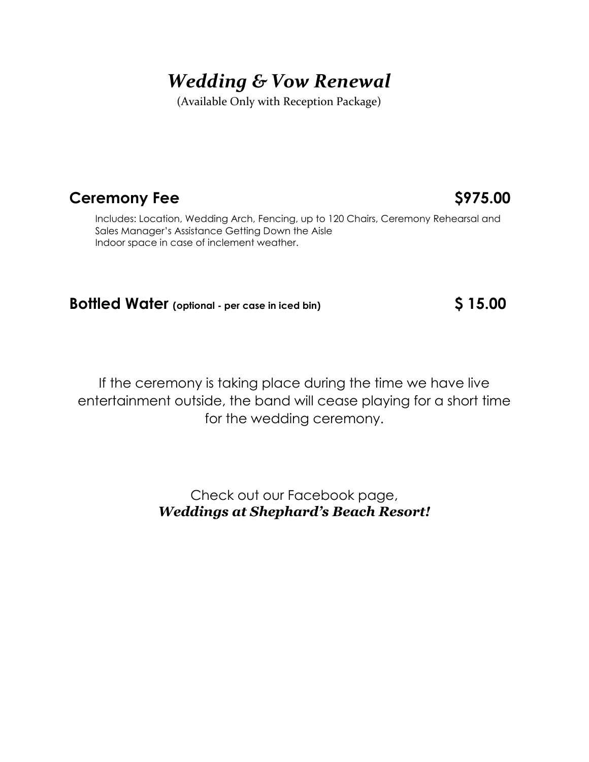# *Wedding & Vow Renewal*

(Available Only with Reception Package)

## **Ceremony Fee** \$975.00

Includes: Location, Wedding Arch, Fencing, up to 120 Chairs, Ceremony Rehearsal and Sales Manager's Assistance Getting Down the Aisle Indoor space in case of inclement weather.

## **Bottled Water (optional - per case in iced bin) \$ 15.00**

If the ceremony is taking place during the time we have live entertainment outside, the band will cease playing for a short time for the wedding ceremony.

> Check out our Facebook page, *Weddings at Shephard's Beach Resort!*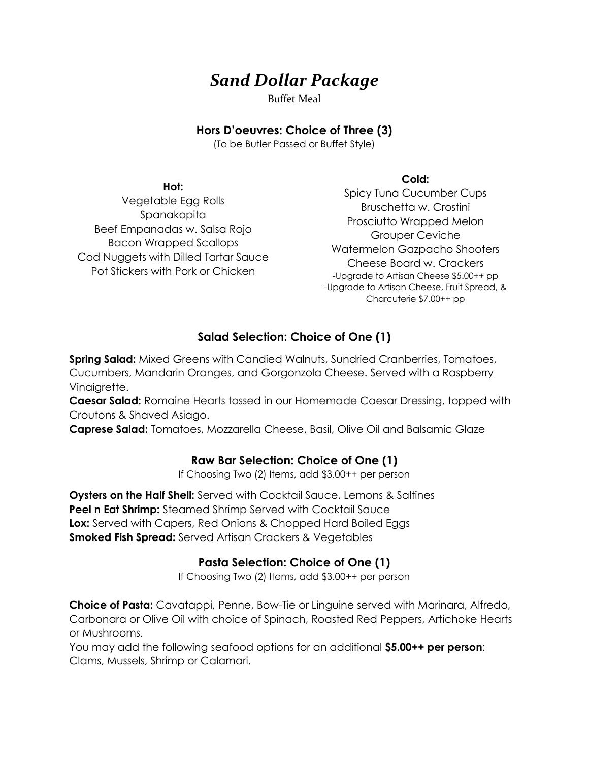## *Sand Dollar Package*

Buffet Meal

#### **Hors D'oeuvres: Choice of Three (3)**

(To be Butler Passed or Buffet Style)

#### **Hot:**

Vegetable Egg Rolls Spanakopita Beef Empanadas w. Salsa Rojo Bacon Wrapped Scallops Cod Nuggets with Dilled Tartar Sauce Pot Stickers with Pork or Chicken

#### **Cold:**

Spicy Tuna Cucumber Cups Bruschetta w. Crostini Prosciutto Wrapped Melon Grouper Ceviche Watermelon Gazpacho Shooters Cheese Board w. Crackers -Upgrade to Artisan Cheese \$5.00++ pp -Upgrade to Artisan Cheese, Fruit Spread, & Charcuterie \$7.00++ pp

### **Salad Selection: Choice of One (1)**

**Spring Salad:** Mixed Greens with Candied Walnuts, Sundried Cranberries, Tomatoes, Cucumbers, Mandarin Oranges, and Gorgonzola Cheese. Served with a Raspberry Vinaigrette.

**Caesar Salad:** Romaine Hearts tossed in our Homemade Caesar Dressing, topped with Croutons & Shaved Asiago.

**Caprese Salad:** Tomatoes, Mozzarella Cheese, Basil, Olive Oil and Balsamic Glaze

### **Raw Bar Selection: Choice of One (1)**

If Choosing Two (2) Items, add \$3.00++ per person

**Oysters on the Half Shell:** Served with Cocktail Sauce, Lemons & Saltines **Peel n Eat Shrimp:** Steamed Shrimp Served with Cocktail Sauce **Lox:** Served with Capers, Red Onions & Chopped Hard Boiled Eggs **Smoked Fish Spread:** Served Artisan Crackers & Vegetables

### **Pasta Selection: Choice of One (1)**

If Choosing Two (2) Items, add \$3.00++ per person

**Choice of Pasta:** Cavatappi, Penne, Bow-Tie or Linguine served with Marinara, Alfredo, Carbonara or Olive Oil with choice of Spinach, Roasted Red Peppers, Artichoke Hearts or Mushrooms.

You may add the following seafood options for an additional **\$5.00++ per person**: Clams, Mussels, Shrimp or Calamari.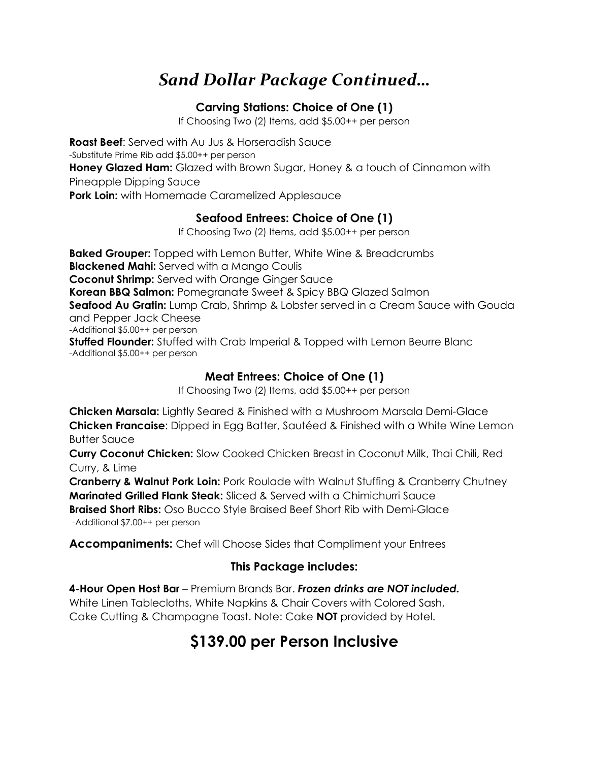# *Sand Dollar Package Continued…*

### **Carving Stations: Choice of One (1)**

If Choosing Two (2) Items, add \$5.00++ per person

**Roast Beef**: Served with Au Jus & Horseradish Sauce -Substitute Prime Rib add \$5.00++ per person **Honey Glazed Ham:** Glazed with Brown Sugar, Honey & a touch of Cinnamon with Pineapple Dipping Sauce **Pork Loin:** with Homemade Caramelized Applesauce

### **Seafood Entrees: Choice of One (1)**

If Choosing Two (2) Items, add \$5.00++ per person

**Baked Grouper:** Topped with Lemon Butter, White Wine & Breadcrumbs **Blackened Mahi:** Served with a Mango Coulis **Coconut Shrimp:** Served with Orange Ginger Sauce **Korean BBQ Salmon:** Pomegranate Sweet & Spicy BBQ Glazed Salmon **Seafood Au Gratin:** Lump Crab, Shrimp & Lobster served in a Cream Sauce with Gouda and Pepper Jack Cheese -Additional \$5.00++ per person **Stuffed Flounder:** Stuffed with Crab Imperial & Topped with Lemon Beurre Blanc -Additional \$5.00++ per person

## **Meat Entrees: Choice of One (1)**

If Choosing Two (2) Items, add \$5.00++ per person

**Chicken Marsala:** Lightly Seared & Finished with a Mushroom Marsala Demi-Glace **Chicken Francaise**: Dipped in Egg Batter, Sautéed & Finished with a White Wine Lemon Butter Sauce

**Curry Coconut Chicken:** Slow Cooked Chicken Breast in Coconut Milk, Thai Chili, Red Curry, & Lime

**Cranberry & Walnut Pork Loin:** Pork Roulade with Walnut Stuffing & Cranberry Chutney **Marinated Grilled Flank Steak:** Sliced & Served with a Chimichurri Sauce **Braised Short Ribs:** Oso Bucco Style Braised Beef Short Rib with Demi-Glace

-Additional \$7.00++ per person

**Accompaniments:** Chef will Choose Sides that Compliment your Entrees

### **This Package includes:**

**4-Hour Open Host Bar** – Premium Brands Bar. *Frozen drinks are NOT included.* White Linen Tablecloths, White Napkins & Chair Covers with Colored Sash, Cake Cutting & Champagne Toast. Note: Cake **NOT** provided by Hotel.

## **\$139.00 per Person Inclusive**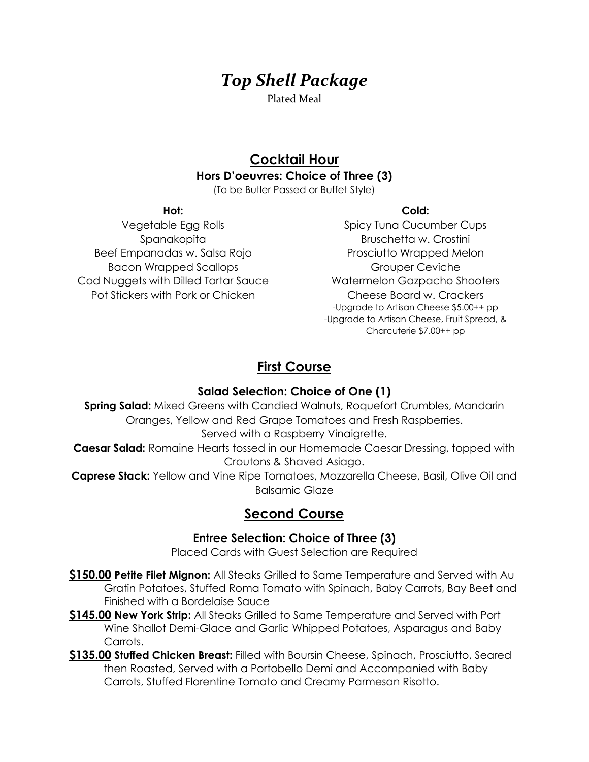# *Top Shell Package*

Plated Meal

## **Cocktail Hour Hors D'oeuvres: Choice of Three (3)**

(To be Butler Passed or Buffet Style)

#### **Hot:**

Vegetable Egg Rolls Spanakopita Beef Empanadas w. Salsa Rojo Bacon Wrapped Scallops Cod Nuggets with Dilled Tartar Sauce Pot Stickers with Pork or Chicken

#### **Cold:**

Spicy Tuna Cucumber Cups Bruschetta w. Crostini Prosciutto Wrapped Melon Grouper Ceviche Watermelon Gazpacho Shooters Cheese Board w. Crackers -Upgrade to Artisan Cheese \$5.00++ pp -Upgrade to Artisan Cheese, Fruit Spread, & Charcuterie \$7.00++ pp

## **First Course**

### **Salad Selection: Choice of One (1)**

**Spring Salad:** Mixed Greens with Candied Walnuts, Roquefort Crumbles, Mandarin Oranges, Yellow and Red Grape Tomatoes and Fresh Raspberries. Served with a Raspberry Vinaigrette. **Caesar Salad:** Romaine Hearts tossed in our Homemade Caesar Dressing, topped with Croutons & Shaved Asiago. **Caprese Stack:** Yellow and Vine Ripe Tomatoes, Mozzarella Cheese, Basil, Olive Oil and

Balsamic Glaze

## **Second Course**

### **Entree Selection: Choice of Three (3)**

Placed Cards with Guest Selection are Required

- **\$150.00 Petite Filet Mignon:** All Steaks Grilled to Same Temperature and Served with Au Gratin Potatoes, Stuffed Roma Tomato with Spinach, Baby Carrots, Bay Beet and Finished with a Bordelaise Sauce
- **\$145.00 New York Strip:** All Steaks Grilled to Same Temperature and Served with Port Wine Shallot Demi-Glace and Garlic Whipped Potatoes, Asparagus and Baby Carrots.
- **\$135.00 Stuffed Chicken Breast:** Filled with Boursin Cheese, Spinach, Prosciutto, Seared then Roasted, Served with a Portobello Demi and Accompanied with Baby Carrots, Stuffed Florentine Tomato and Creamy Parmesan Risotto.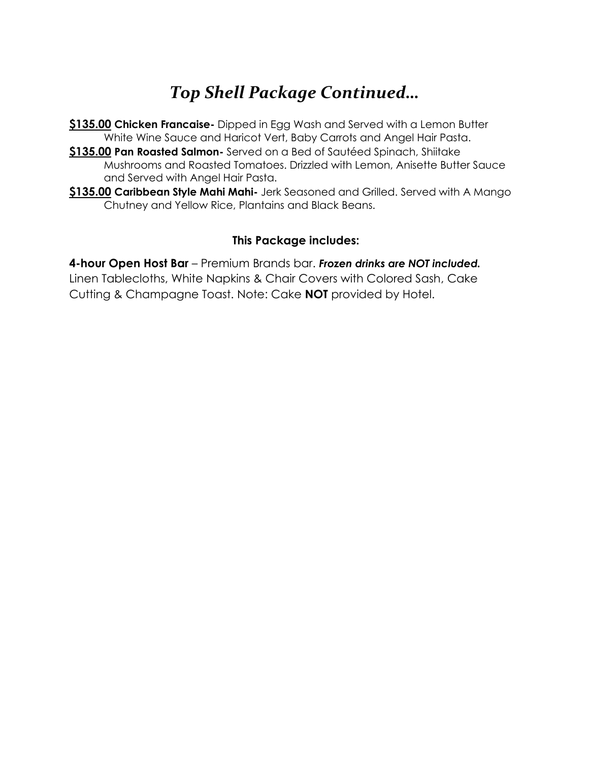# *Top Shell Package Continued…*

- **\$135.00 Chicken Francaise-** Dipped in Egg Wash and Served with a Lemon Butter White Wine Sauce and Haricot Vert, Baby Carrots and Angel Hair Pasta.
- **\$135.00 Pan Roasted Salmon-** Served on a Bed of Sautéed Spinach, Shiitake Mushrooms and Roasted Tomatoes. Drizzled with Lemon, Anisette Butter Sauce and Served with Angel Hair Pasta.
- **\$135.00 Caribbean Style Mahi Mahi-** Jerk Seasoned and Grilled. Served with A Mango Chutney and Yellow Rice, Plantains and Black Beans.

### **This Package includes:**

**4-hour Open Host Bar** – Premium Brands bar. *Frozen drinks are NOT included.* Linen Tablecloths, White Napkins & Chair Covers with Colored Sash, Cake Cutting & Champagne Toast. Note: Cake **NOT** provided by Hotel.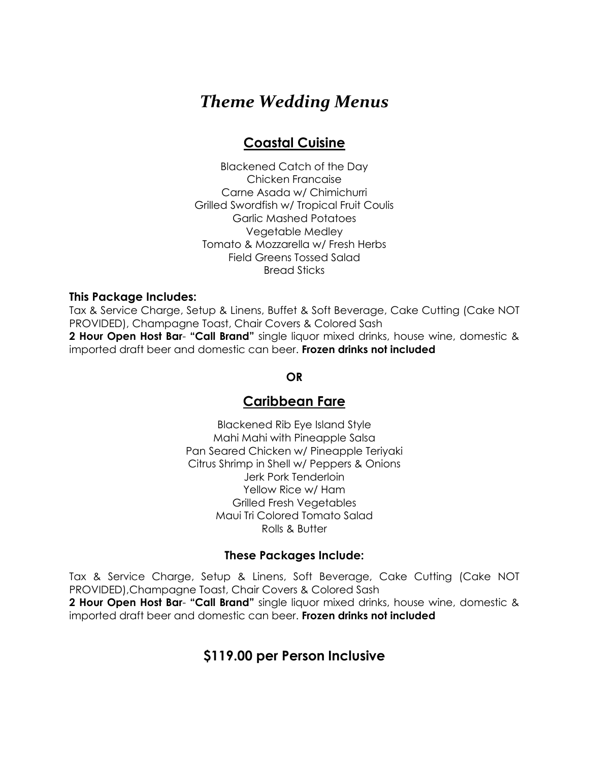## *Theme Wedding Menus*

## **Coastal Cuisine**

Blackened Catch of the Day Chicken Francaise Carne Asada w/ Chimichurri Grilled Swordfish w/ Tropical Fruit Coulis Garlic Mashed Potatoes Vegetable Medley Tomato & Mozzarella w/ Fresh Herbs Field Greens Tossed Salad Bread Sticks

#### **This Package Includes:**

Tax & Service Charge, Setup & Linens, Buffet & Soft Beverage, Cake Cutting (Cake NOT PROVIDED), Champagne Toast, Chair Covers & Colored Sash **2 Hour Open Host Bar**- **"Call Brand"** single liquor mixed drinks, house wine, domestic & imported draft beer and domestic can beer. **Frozen drinks not included**

#### **OR**

### **Caribbean Fare**

Blackened Rib Eye Island Style Mahi Mahi with Pineapple Salsa Pan Seared Chicken w/ Pineapple Teriyaki Citrus Shrimp in Shell w/ Peppers & Onions Jerk Pork Tenderloin Yellow Rice w/ Ham Grilled Fresh Vegetables Maui Tri Colored Tomato Salad Rolls & Butter

#### **These Packages Include:**

Tax & Service Charge, Setup & Linens, Soft Beverage, Cake Cutting (Cake NOT PROVIDED),Champagne Toast, Chair Covers & Colored Sash **2 Hour Open Host Bar**- **"Call Brand"** single liquor mixed drinks, house wine, domestic &

imported draft beer and domestic can beer. **Frozen drinks not included**

## **\$119.00 per Person Inclusive**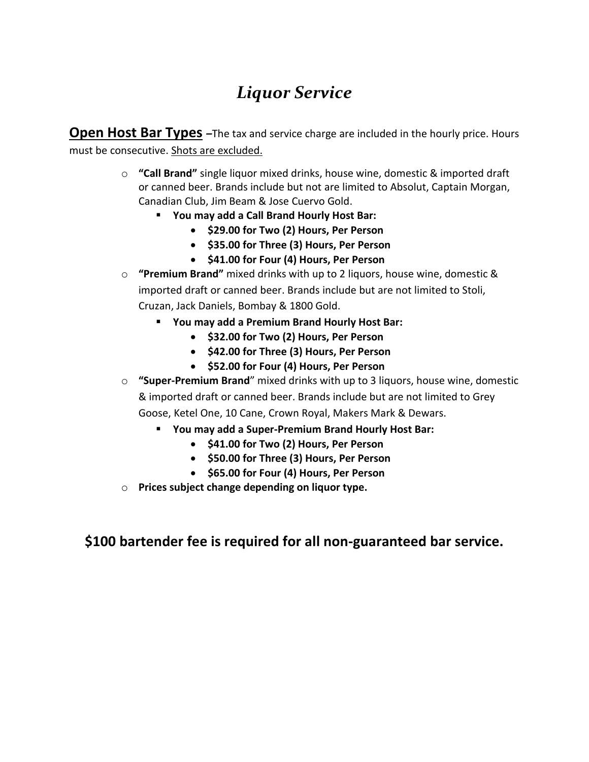# *Liquor Service*

**Open Host Bar Types** – The tax and service charge are included in the hourly price. Hours must be consecutive. Shots are excluded.

- o **"Call Brand"** single liquor mixed drinks, house wine, domestic & imported draft or canned beer. Brands include but not are limited to Absolut, Captain Morgan, Canadian Club, Jim Beam & Jose Cuervo Gold.
	- **You may add a Call Brand Hourly Host Bar:**
		- **\$29.00 for Two (2) Hours, Per Person**
		- **\$35.00 for Three (3) Hours, Per Person**
		- **\$41.00 for Four (4) Hours, Per Person**
- o **"Premium Brand"** mixed drinks with up to 2 liquors, house wine, domestic & imported draft or canned beer. Brands include but are not limited to Stoli, Cruzan, Jack Daniels, Bombay & 1800 Gold.
	- **You may add a Premium Brand Hourly Host Bar:**
		- **\$32.00 for Two (2) Hours, Per Person**
		- **\$42.00 for Three (3) Hours, Per Person**
		- **\$52.00 for Four (4) Hours, Per Person**
- o **"Super-Premium Brand**" mixed drinks with up to 3 liquors, house wine, domestic & imported draft or canned beer. Brands include but are not limited to Grey Goose, Ketel One, 10 Cane, Crown Royal, Makers Mark & Dewars.
	- **You may add a Super-Premium Brand Hourly Host Bar:**
		- **\$41.00 for Two (2) Hours, Per Person**
		- **\$50.00 for Three (3) Hours, Per Person**
		- **\$65.00 for Four (4) Hours, Per Person**
- o **Prices subject change depending on liquor type.**

**\$100 bartender fee is required for all non-guaranteed bar service.**